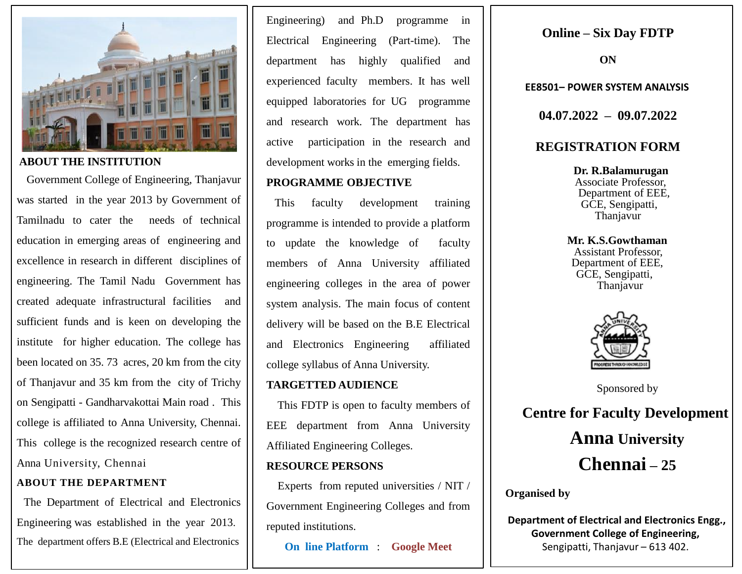

#### **ABOUT THE INSTITUTION**

 Government College of Engineering, Thanjavur was started in the year 2013 by Government of Tamilnadu to cater the needs of technical education in emerging areas of engineering and excellence in research in different disciplines of engineering. The Tamil Nadu Government has created adequate infrastructural facilities and sufficient funds and is keen on developing the institute for higher education. The college has been located on 35. 73 acres, 20 km from the city of Thanjavur and 35 km from the city of Trichy on Sengipatti - Gandharvakottai Main road . This college is affiliated to Anna University, Chennai. This college is the recognized research centre of Anna University, Chennai

#### **ABOUT THE DEPARTMENT**

 The Department of Electrical and Electronics Engineering was established in the year 2013. The department offers B.E (Electrical and Electronics

Engineering) and Ph.D programme in Electrical Engineering (Part-time). The department has highly qualified and experienced faculty members. It has well equipped laboratories for UG programme and research work. The department has active participation in the research and development works in the emerging fields.

## **PROGRAMME OBJECTIVE**

 This faculty development training programme is intended to provide a platform to update the knowledge of faculty members of Anna University affiliated engineering colleges in the area of power system analysis. The main focus of content delivery will be based on the B.E Electrical and Electronics Engineering affiliated college syllabus of Anna University.

### **TARGETTED AUDIENCE**

 This FDTP is open to faculty members of EEE department from Anna University Affiliated Engineering Colleges.

### **RESOURCE PERSONS**

 Experts from reputed universities / NIT / Government Engineering Colleges and from reputed institutions.

**On line Platform** : **Google Meet**

# **Online – Six Day FDTP**

**ON**

**EE8501– POWER SYSTEM ANALYSIS**

**04.07.2022 – 09.07.2022**

# **REGISTRATION FORM**

 **Dr. R.Balamurugan** Associate Professor, Department of EEE, GCE, Sengipatti, Thanjavur

 **Mr. K.S.Gowthaman** Assistant Professor, Department of EEE, GCE, Sengipatti, Thanjavur



Sponsored by

**Centre for Faculty Development Anna University Chennai – 25**

**Organised by**

**Department of Electrical and Electronics Engg., Government College of Engineering,** Sengipatti, Thanjavur – 613 402.